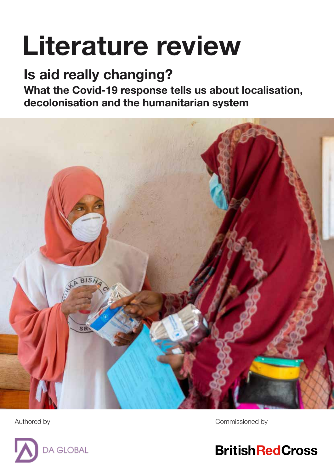# Literature review

### Is aid really changing?

What the Covid-19 response tells us about localisation, decolonisation and the humanitarian system





Authored by **Commissioned** by

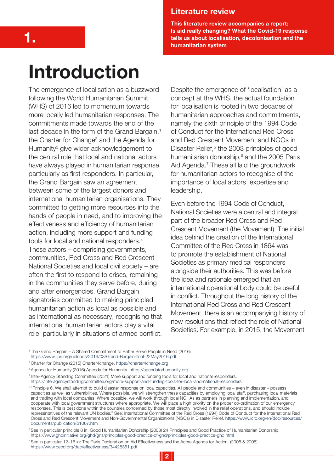#### Literature review

This literature review accompanies a report: Is aid really changing? What the Covid-19 response tells us about localisation, decolonisation and the humanitarian system

# Introduction

The emergence of localisation as a buzzword following the World Humanitarian Summit (WHS) of 2016 led to momentum towards more locally led humanitarian responses. The commitments made towards the end of the last decade in the form of the Grand Bargain, $<sup>1</sup>$ </sup> the Charter for Change<sup>2</sup> and the Agenda for Humanity<sup>3</sup> give wider acknowledgement to the central role that local and national actors have always played in humanitarian response, particularly as first responders. In particular, the Grand Bargain saw an agreement between some of the largest donors and international humanitarian organisations. They committed to getting more resources into the hands of people in need, and to improving the effectiveness and efficiency of humanitarian action, including more support and funding tools for local and national responders.<sup>4</sup> These actors – comprising governments, communities, Red Cross and Red Crescent National Societies and local civil society – are often the first to respond to crises, remaining in the communities they serve before, during and after emergencies. Grand Bargain signatories committed to making principled humanitarian action as local as possible and as international as necessary, recognising that international humanitarian actors play a vital role, particularly in situations of armed conflict.

Despite the emergence of 'localisation' as a concept at the WHS, the actual foundation for localisation is rooted in two decades of humanitarian approaches and commitments, namely the sixth principle of the 1994 Code of Conduct for the International Red Cross and Red Crescent Movement and NGOs in Disaster Relief,<sup>5</sup> the 2003 principles of good humanitarian donorship,<sup>6</sup> and the 2005 Paris Aid Agenda.<sup>7</sup> These all laid the groundwork for humanitarian actors to recognise of the importance of local actors' expertise and leadership.

Even before the 1994 Code of Conduct, National Societies were a central and integral part of the broader Red Cross and Red Crescent Movement (the Movement). The initial idea behind the creation of the International Committee of the Red Cross in 1864 was to promote the establishment of National Societies as primary medical responders alongside their authorities. This was before the idea and rationale emerged that an international operational body could be useful in conflict. Throughout the long history of the International Red Cross and Red Crescent Movement, there is an accompanying history of new resolutions that reflect the role of National Societies. For example, in 2015, the Movement

<sup>6</sup> See in particular principle 8 in: Good Humanitarian Donorship (2003) 24 Principles and Good Practice of Humanitarian Donorship. https://www.ghdinitiative.org/ghd/gns/principles-good-practice-of-ghd/principles-good-practice-ghd.html

7 See in particular 12–16 in: The Paris Declaration on Aid Effectiveness and the Accra Agenda for Action. (2005 & 2008). https://www.oecd.org/dac/effectiveness/34428351.pdf

<sup>1</sup> The Grand Bargain – A Shared Commitment to Better Serve People in Need (2016) https://www.jips.org/uploads/2019/03/Grand-Bargain-final-22May2016.pdf

<sup>2</sup> Charter for Change (2015) Charter4change. https://charter4change.org

<sup>3</sup> Agenda for Humanity (2016) Agenda for Humanity. https://agendaforhumanity.org

<sup>4</sup> Inter-Agency Standing Committee (2021) More support and funding tools for local and national responders. https://interagencystandingcommittee.org/more-support-and-funding-tools-for-local-and-national-responders

<sup>5 &</sup>quot;Principle 6. We shall attempt to build disaster response on local capacities. All people and communities – even in disaster – possess capacities as well as vulnerabilities. Where possible, we will strengthen these capacities by employing local staff, purchasing local materials and trading with local companies. Where possible, we will work through local NGHAs as partners in planning and implementation, and cooperate with local government structures where appropriate. We will place a high priority on the proper co-ordination of our emergency responses. This is best done within the countries concerned by those most directly involved in the relief operations, and should include representatives of the relevant UN bodies." See: International Committee of the Red Cross (1994) Code of Conduct for the International Red Cross and Red Crescent Movement and Non-Governmental Organizations (NGOs) in Disaster Relief. https://www.icrc.org/en/doc/resources/ documents/publication/p1067.htm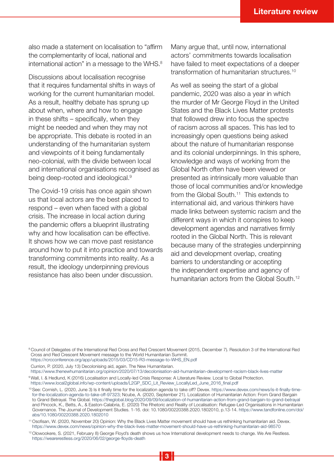also made a statement on localisation to "affirm the complementarity of local, national and international action" in a message to the WHS. $8$ 

Discussions about localisation recognise that it requires fundamental shifts in ways of working for the current humanitarian model. As a result, healthy debate has sprung up about when, where and how to engage in these shifts – specifically, when they might be needed and when they may not be appropriate. This debate is rooted in an understanding of the humanitarian system and viewpoints of it being fundamentally neo-colonial, with the divide between local and international organisations recognised as being deep-rooted and ideological.<sup>9</sup>

The Covid-19 crisis has once again shown us that local actors are the best placed to respond – even when faced with a global crisis. The increase in local action during the pandemic offers a blueprint illustrating why and how localisation can be effective. It shows how we can move past resistance around how to put it into practice and towards transforming commitments into reality. As a result, the ideology underpinning previous resistance has also been under discussion.

Many argue that, until now, international actors' commitments towards localisation have failed to meet expectations of a deeper transformation of humanitarian structures.10

As well as seeing the start of a global pandemic, 2020 was also a year in which the murder of Mr George Floyd in the United States and the Black Lives Matter protests that followed drew into focus the spectre of racism across all spaces. This has led to increasingly open questions being asked about the nature of humanitarian response and its colonial underpinnings. In this sphere, knowledge and ways of working from the Global North often have been viewed or presented as intrinsically more valuable than those of local communities and/or knowledge from the Global South.<sup>11</sup> This extends to international aid, and various thinkers have made links between systemic racism and the different ways in which it conspires to keep development agendas and narratives firmly rooted in the Global North. This is relevant because many of the strategies underpinning aid and development overlap, creating barriers to understanding or accepting the independent expertise and agency of humanitarian actors from the Global South.<sup>12</sup>

https://rcrcconference.org/app/uploads/2015/03/CD15-R3-message-to-WHS\_EN.pdf

Currion, P. (2020, July 13) Decolonising aid, again. The New Humanitarian.

https://www.thenewhumanitarian.org/opinion/2020/07/13/decolonisation-aid-humanitarian-development-racism-black-lives-matter 9 Wall, I. & Hedlund, K (2016) Localisation and Locally-led Crisis Response: A Literature Review. Local to Global Protection.

https://www.local2global.info/wp-content/uploads/L2GP\_SDC\_Lit\_Review\_LocallyLed\_June\_2016\_final.pdf

11 Osofisan, W. (2020, November 20) Opinion: Why the Black Lives Matter movement should have us rethinking humanitarian aid. Devex. https://www.devex.com/news/opinion-why-the-black-lives-matter-movement-should-have-us-rethinking-humanitarian-aid-98570

<sup>12</sup> Olowookere, S. (2021, February 8) George Floyd's death shows us how International development needs to change. We Are Restless. https://wearerestless.org/2020/06/02/george-floyds-death

<sup>&</sup>lt;sup>8</sup> Council of Delegates of the International Red Cross and Red Crescent Movement (2015, December 7). Resolution 3 of the International Red Cross and Red Crescent Movement message to the World Humanitarian Summit.

<sup>10</sup> See: Cornish, L. (2020, June 3) Is it finally time for the localization agenda to take off? Devex. https://www.devex.com/news/is-it-finally-timefor-the-localization-agenda-to-take-off-97323; Ncube, A. (2020, September 21). Localization of Humanitarian Action: From Grand Bargain to Grand Betrayal. The Global. https://theglobal.blog/2020/09/09/localization-of-humanitarian-action-from-grand-bargain-to-grand-betrayal and Pincock, K., Betts, A., & Easton-Calabria, E. (2020) The Rhetoric and Reality of Localisation: Refugee-Led Organisations in Humanitarian Governance. The Journal of Development Studies. 1-16. doi: 10.1080/00220388.2020.1802010, p.13-14. https://www.tandfonline.com/doi/ abs/10.1080/00220388.2020.1802010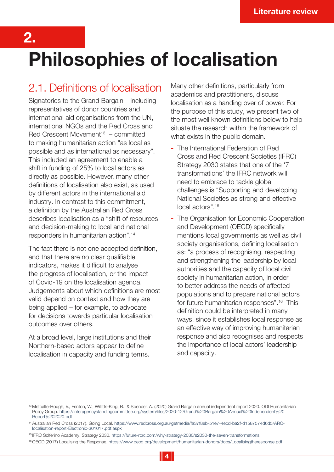2.

# Philosophies of localisation

#### 2.1. Definitions of localisation

Signatories to the Grand Bargain – including representatives of donor countries and international aid organisations from the UN, international NGOs and the Red Cross and Red Crescent Movement<sup>13</sup> – committed to making humanitarian action "as local as possible and as international as necessary". This included an agreement to enable a shift in funding of 25% to local actors as directly as possible. However, many other definitions of localisation also exist, as used by different actors in the international aid industry. In contrast to this commitment, a definition by the Australian Red Cross describes localisation as a "shift of resources and decision-making to local and national responders in humanitarian action".14

The fact there is not one accepted definition, and that there are no clear qualifiable indicators, makes it difficult to analyse the progress of localisation, or the impact of Covid-19 on the localisation agenda. Judgements about which definitions are most valid depend on context and how they are being applied – for example, to advocate for decisions towards particular localisation outcomes over others.

At a broad level, large institutions and their Northern-based actors appear to define localisation in capacity and funding terms.

Many other definitions, particularly from academics and practitioners, discuss localisation as a handing over of power. For the purpose of this study, we present two of the most well known definitions below to help situate the research within the framework of what exists in the public domain.

- The International Federation of Red Cross and Red Crescent Societies (IFRC) Strategy 2030 states that one of the '7 transformations' the IFRC network will need to embrace to tackle global challenges is "Supporting and developing National Societies as strong and effective local actors".15
- The Organisation for Economic Cooperation and Development (OECD) specifically mentions local governments as well as civil society organisations, defining localisation as: "a process of recognising, respecting and strengthening the leadership by local authorities and the capacity of local civil society in humanitarian action, in order to better address the needs of affected populations and to prepare national actors for future humanitarian responses".16 This definition could be interpreted in many ways, since it establishes local response as an effective way of improving humanitarian response and also recognises and respects the importance of local actors' leadership and capacity.

<sup>13</sup> Metcalfe-Hough, V., Fenton, W., Willitts-King, B., & Spencer, A. (2020) Grand Bargain annual independent report 2020. ODI Humanitarian Policy Group. https://interagencystandingcommittee.org/system/files/2020-12/Grand%20Bargain%20Annual%20Independent%20 Report%202020.pdf

<sup>14</sup> Australian Red Cross (2017). Going Local. https://www.redcross.org.au/getmedia/fa37f8eb-51e7-4ecd-ba2f-d1587574d6d5/ARClocalisation-report-Electronic-301017.pdf.aspx

<sup>15</sup> IFRC Solferino Academy. Strategy 2030. https://future-rcrc.com/why-strategy-2030/s2030-the-seven-transformations

<sup>16</sup> OECD (2017) Localising the Response. https://www.oecd.org/development/humanitarian-donors/docs/Localisingtheresponse.pdf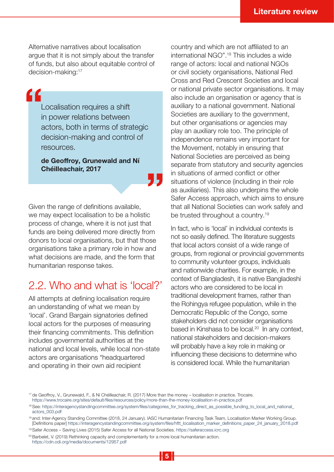Alternative narratives about localisation argue that it is not simply about the transfer of funds, but also about equitable control of decision-making:17

"

Localisation requires a shift in power relations between actors, both in terms of strategic decision-making and control of resources.

de Geoffroy, Grunewald and Ní Chéilleachair, 2017

Given the range of definitions available, we may expect localisation to be a holistic process of change, where it is not just that funds are being delivered more directly from donors to local organisations, but that those organisations take a primary role in how and what decisions are made, and the form that humanitarian response takes.

#### 2.2. Who and what is 'local?'

All attempts at defining localisation require an understanding of what we mean by 'local'. Grand Bargain signatories defined local actors for the purposes of measuring their financing commitments. This definition includes governmental authorities at the national and local levels, while local non-state actors are organisations "headquartered and operating in their own aid recipient

country and which are not affiliated to an international NGO".18 This includes a wide range of actors: local and national NGOs or civil society organisations, National Red Cross and Red Crescent Societies and local or national private sector organisations. It may also include an organisation or agency that is auxiliary to a national government. National Societies are auxiliary to the government, but other organisations or agencies may play an auxiliary role too. The principle of independence remains very important for the Movement, notably in ensuring that National Societies are perceived as being separate from statutory and security agencies in situations of armed conflict or other situations of violence (including in their role as auxiliaries). This also underpins the whole Safer Access approach, which aims to ensure that all National Societies can work safely and be trusted throughout a country.<sup>19</sup>

In fact, who is 'local' in individual contexts is not so easily defined. The literature suggests that local actors consist of a wide range of groups, from regional or provincial governments to community volunteer groups, individuals and nationwide charities. For example, in the context of Bangladesh, it is native Bangladeshi actors who are considered to be local in traditional development frames, rather than the Rohingya refugee population, while in the Democratic Republic of the Congo, some stakeholders did not consider organisations based in Kinshasa to be local.<sup>20</sup> In any context, national stakeholders and decision-makers will probably have a key role in making or influencing these decisions to determine who is considered local. While the humanitarian

,<br>"

<sup>17</sup> de Geoffroy, V., Grunewald, F., & Ní Chéilleachair, R. (2017) More than the money – localisation in practice. Trocaire. https://www.trocaire.org/sites/default/files/resources/policy/more-than-the-money-localisation-in-practice.pdf

<sup>18</sup> See: https://interagencystandingcommittee.org/system/files/categories\_for\_tracking\_direct\_as\_possible\_funding\_to\_local\_and\_national\_ actors\_003.pdf

<sup>&</sup>lt;sup>18</sup> and: Inter-Agency Standing Committee (2018, 24 January). IASC Humanitarian Financing Task Team, Localisation Marker Working Group. [Definitions paper] https://interagencystandingcommittee.org/system/files/hftt\_localisation\_marker\_definitions\_paper\_24\_january\_2018.pdf

<sup>19</sup> Safer Access – Saving Lives (2015) Safer Access for all National Societies. https://saferaccess.icrc.org

<sup>&</sup>lt;sup>20</sup> Barbelet, V. (2019) Rethinking capacity and complementarity for a more local humanitarian action. https://cdn.odi.org/media/documents/12957.pdf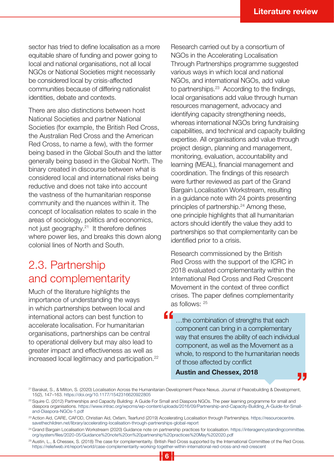sector has tried to define localisation as a more equitable share of funding and power going to local and national organisations, not all local NGOs or National Societies might necessarily be considered local by crisis-affected communities because of differing nationalist identities, debate and contexts.

There are also distinctions between host National Societies and partner National Societies (for example, the British Red Cross, the Australian Red Cross and the American Red Cross, to name a few), with the former being based in the Global South and the latter generally being based in the Global North. The binary created in discourse between what is considered local and international risks being reductive and does not take into account the vastness of the humanitarian response community and the nuances within it. The concept of localisation relates to scale in the areas of sociology, politics and economics, not just geography.21 It therefore defines where power lies, and breaks this down along colonial lines of North and South.

### 2.3. Partnership and complementarity

Much of the literature highlights the importance of understanding the ways in which partnerships between local and international actors can best function to accelerate localisation. For humanitarian organisations, partnerships can be central to operational delivery but may also lead to greater impact and effectiveness as well as increased local legitimacy and participation.<sup>22</sup>

Research carried out by a consortium of NGOs in the Accelerating Localisation Through Partnerships programme suggested various ways in which local and national NGOs, and international NGOs, add value to partnerships.<sup>23</sup> According to the findings, local organisations add value through human resources management, advocacy and identifying capacity strengthening needs, whereas international NGOs bring fundraising capabilities, and technical and capacity building expertise. All organisations add value through project design, planning and management, monitoring, evaluation, accountability and learning (MEAL), financial management and coordination. The findings of this research were further reviewed as part of the Grand Bargain Localisation Workstream, resulting in a guidance note with 24 points presenting principles of partnership.<sup>24</sup> Among these, one principle highlights that all humanitarian actors should identify the value they add to partnerships so that complementarity can be identified prior to a crisis.

Research commissioned by the British Red Cross with the support of the ICRC in 2018 evaluated complementarity within the International Red Cross and Red Crescent Movement in the context of three conflict crises. The paper defines complementarity as follows: 25

…the combination of strengths that each component can bring in a complementary way that ensures the ability of each individual component, as well as the Movement as a whole, to respond to the humanitarian needs of those affected by conflict "

. L

#### Austin and Chessex, 2018

<sup>&</sup>lt;sup>21</sup> Barakat, S., & Milton, S. (2020) Localisation Across the Humanitarian-Development-Peace Nexus. Journal of Peacebuilding & Development, 15(2), 147–163. https://doi.org/10.1177/1542316620922805

<sup>&</sup>lt;sup>22</sup> Squire C. (2012) Partnerships and Capacity Building: A Guide For Small and Diaspora NGOs. The peer learning programme for small and diaspora organisations. https://www.intrac.org/wpcms/wp-content/uploads/2016/09/Partnership-and-Capacity-Building\_A-Guide-for-Smalland-Diaspora-NGOs-1.pdf

<sup>&</sup>lt;sup>23</sup> Action Aid, CARE, CAFOD, Christian Aid, Oxfam, Tearfund (2019) Accelerating Localisation through Partnerships. https://resourcecentre. savethechildren.net/library/accelerating-localisation-through-partnerships-global-report

<sup>&</sup>lt;sup>24</sup> Grand Bargain Localisation Workstream (2020) Guidance note on partnership practices for localisation. https://interagencystandingcommittee. org/system/files/2020-05/Guidance%20note%20on%20partnership%20practices%20May%202020.pdf

<sup>&</sup>lt;sup>25</sup> Austin, L., & Chessex, S. (2018) The case for complementarity. British Red Cross supported by the International Committee of the Red Cross. https://reliefweb.int/report/world/case-complementarity-working-together-within-international-red-cross-and-red-crescent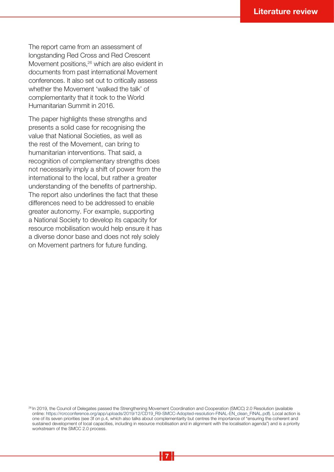The report came from an assessment of longstanding Red Cross and Red Crescent Movement positions,<sup>26</sup> which are also evident in documents from past international Movement conferences. It also set out to critically assess whether the Movement 'walked the talk' of complementarity that it took to the World Humanitarian Summit in 2016.

The paper highlights these strengths and presents a solid case for recognising the value that National Societies, as well as the rest of the Movement, can bring to humanitarian interventions. That said, a recognition of complementary strengths does not necessarily imply a shift of power from the international to the local, but rather a greater understanding of the benefits of partnership. The report also underlines the fact that these differences need to be addressed to enable greater autonomy. For example, supporting a National Society to develop its capacity for resource mobilisation would help ensure it has a diverse donor base and does not rely solely on Movement partners for future funding.

<sup>&</sup>lt;sup>26</sup> In 2019, the Council of Delegates passed the Strengthening Movement Coordination and Cooperation (SMCC) 2.0 Resolution (available online: https://rcrcconference.org/app/uploads/2019/12/CD19\_R9-SMCC-Adopted-resolution-FINAL-EN\_clean\_FINAL.pdf). Local action is one of its seven priorities (see 3f on p.4, which also talks about complementarity but centres the importance of "ensuring the coherent and sustained development of local capacities, including in resource mobilisation and in alignment with the localisation agenda") and is a priority workstream of the SMCC 2.0 process.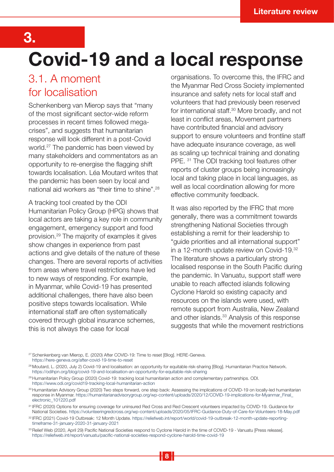3.

# Covid-19 and a local response

### 3.1. A moment for localisation

Schenkenberg van Mierop says that "many of the most significant sector-wide reform processes in recent times followed megacrises", and suggests that humanitarian response will look different in a post-Covid world.27 The pandemic has been viewed by many stakeholders and commentators as an opportunity to re-energise the flagging shift towards localisation. Léa Moutard writes that the pandemic has been seen by local and national aid workers as "their time to shine".<sup>28</sup>

A tracking tool created by the ODI Humanitarian Policy Group (HPG) shows that local actors are taking a key role in community engagement, emergency support and food provision.29 The majority of examples it gives show changes in experience from past actions and give details of the nature of these changes. There are several reports of activities from areas where travel restrictions have led to new ways of responding. For example, in Myanmar, while Covid-19 has presented additional challenges, there have also been positive steps towards localisation. While international staff are often systematically covered through global insurance schemes, this is not always the case for local

organisations. To overcome this, the IFRC and the Myanmar Red Cross Society implemented insurance and safety nets for local staff and volunteers that had previously been reserved for international staff.30 More broadly, and not least in conflict areas, Movement partners have contributed financial and advisory support to ensure volunteers and frontline staff have adequate insurance coverage, as well as scaling up technical training and donating PPE. 31 The ODI tracking tool features other reports of cluster groups being increasingly local and taking place in local languages, as well as local coordination allowing for more effective community feedback.

It was also reported by the IFRC that more generally, there was a commitment towards strengthening National Societies through establishing a remit for their leadership to "guide priorities and all international support" in a 12-month update review on Covid-19.32 The literature shows a particularly strong localised response in the South Pacific during the pandemic. In Vanuatu, support staff were unable to reach affected islands following Cyclone Harold so existing capacity and resources on the islands were used, with remote support from Australia, New Zealand and other islands.33 Analysis of this response suggests that while the movement restrictions

<sup>&</sup>lt;sup>27</sup> Schenkenberg van Mierop, E. (2020) After COVID-19: Time to reset [Blog]. HERE-Geneva. https://here-geneva.org/after-covid-19-time-to-reset

<sup>28</sup> Moutard, L. (2020, July 2) Covid-19 and localisation: an opportunity for equitable risk-sharing [Blog]. Humanitarian Practice Network. https://odihpn.org/blog/covid-19-and-localisation-an-opportunity-for-equitable-risk-sharing

<sup>29</sup> Humanitarian Policy Group (2020) Covid-19: tracking local humanitarian action and complementary partnerships. ODI. https://www.odi.org/covid19-tracking-local-humanitarian-action

<sup>30</sup> Humanitarian Advisory Group (2020) Two steps forward, one step back: Assessing the implications of COVID-19 on locally-led humanitarian response in Myanmar. https://humanitarianadvisorygroup.org/wp-content/uploads/2020/12/COVID-19-implications-for-Myanmar\_Final\_ electronic\_101220.pdf

<sup>31</sup> IFRC (2020) Options for ensuring coverage for uninsured Red Cross and Red Crescent volunteers impacted by COVID-19. Guidance for National Societies. https://volunteeringredcross.org/wp-content/uploads/2020/05/IFRC-Guidance-Duty-of-Care-for-Volunteers-18-May.pdf

<sup>32</sup> IFRC (2021) Covid-19 Outbreak: 12 Month Update. https://reliefweb.int/report/world/covid-19-outbreak-12-month-update-reportingtimeframe-31-january-2020-31-january-2021

<sup>33</sup> Relief Web (2020, April 29) Pacific National Societies respond to Cyclone Harold in the time of COVID-19 - Vanuatu [Press release]. https://reliefweb.int/report/vanuatu/pacific-national-societies-respond-cyclone-harold-time-covid-19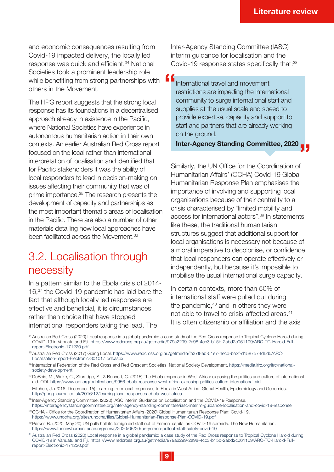and economic consequences resulting from Covid-19 impacted delivery, the locally led response was quick and efficient.34 National Societies took a prominent leadership role while benefiting from strong partnerships with others in the Movement.

The HPG report suggests that the strong local response has its foundations in a decentralised approach already in existence in the Pacific, where National Societies have experience in autonomous humanitarian action in their own contexts. An earlier Australian Red Cross report focused on the local rather than international interpretation of localisation and identified that for Pacific stakeholders it was the ability of local responders to lead in decision-making on issues affecting their community that was of prime importance.35 The research presents the development of capacity and partnerships as the most important thematic areas of localisation in the Pacific. There are also a number of other materials detailing how local approaches have been facilitated across the Movement.36

#### 3.2. Localisation through necessity

In a pattern similar to the Ebola crisis of 2014- 16,37 the Covid-19 pandemic has laid bare the fact that although locally led responses are effective and beneficial, it is circumstances rather than choice that have stopped international responders taking the lead. The

Inter-Agency Standing Committee (IASC) interim guidance for localisation and the Covid-19 response states specifically that:<sup>38</sup>

International travel and movement restrictions are impeding the international community to surge international staff and supplies at the usual scale and speed to provide expertise, capacity and support to staff and partners that are already working on the ground. "

#### Inter-Agency Standing Committee, 2020 י<br>נ

Similarly, the UN Office for the Coordination of Humanitarian Affairs' (OCHA) Covid-19 Global Humanitarian Response Plan emphasises the importance of involving and supporting local organisations because of their centrality to a crisis characterised by "limited mobility and access for international actors".39 In statements like these, the traditional humanitarian structures suggest that additional support for local organisations is necessary not because of a moral imperative to decolonise, or confidence that local responders can operate effectively or independently, but because it's impossible to mobilise the usual international surge capacity.

In certain contexts, more than 50% of international staff were pulled out during the pandemic,<sup>40</sup> and in others they were not able to travel to crisis-affected areas.<sup>41</sup> It is often citizenship or affiliation and the axis

<sup>34</sup> Australian Red Cross (2020) Local response in a global pandemic: a case study of the Red Cross response to Tropical Cyclone Harold during COVID-19 in Vanuatu and Fiji. https://www.redcross.org.au/getmedia/979a2299-2a98-4cc3-b15b-2abd2c061109/ARC-TC-Harold-Fullreport-Electronic-171220.pdf

35 Australian Red Cross (2017) Going Local. https://www.redcross.org.au/getmedia/fa37f8eb-51e7-4ecd-ba2f-d1587574d6d5/ARC-Localisation-report-Electronic-301017.pdf.aspx

<sup>37</sup> DuBois, M., Wake, C., Sturridge, S., & Bennett, C. (2015) The Ebola response in West Africa: exposing the politics and culture of international aid. ODI. https://www.odi.org/publications/9956-ebola-response-west-africa-exposing-politics-culture-international-aid 37 Hitchen, J. (2016, December 15) Learning from local responses to Ebola in West Africa. Global Health, Epidemiology and Genomics. http://gheg-journal.co.uk/2016/12/learning-local-responses-ebola-west-africa

38 Inter-Agency Standing Committee. (2020) IASC Interim Guidance on Localisation and the COVID-19 Response.

- https://www.unocha.org/sites/unocha/files/Global-Humanitarian-Response-Plan-COVID-19.pdf
- <sup>40</sup> Parker, B. (2020, May 20) UN pulls half its foreign aid staff out of Yemeni capital as COVID-19 spreads. The New Humanitarian. https://www.thenewhumanitarian.org/news/2020/05/20/un-yemen-pullout-staff-safety-covid-19
- 41 Australian Red Cross (2020) Local response in a global pandemic: a case study of the Red Cross response to Tropical Cyclone Harold during COVID-19 in Vanuatu and Fiji. https://www.redcross.org.au/getmedia/979a2299-2a98-4cc3-b15b-2abd2c061109/ARC-TC-Harold-Fullreport-Electronic-171220.pdf

<sup>36</sup> International Federation of the Red Cross and Red Crescent Societies. National Society Development. https://media.ifrc.org/ifrc/nationalsociety-development

https://interagencystandingcommittee.org/inter-agency-standing-committee/iasc-interim-guidance-localisation-and-covid-19-response 39 OCHA - Office for the Coordination of Humanitarian Affairs (2020) Global Humanitarian Response Plan: Covid-19.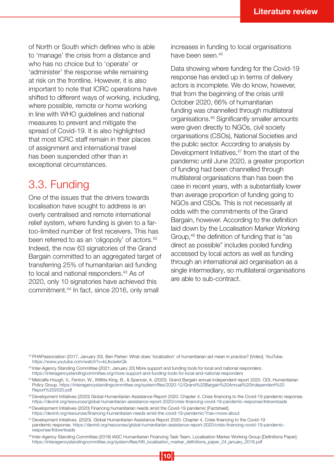of North or South which defines who is able to 'manage' the crisis from a distance and who has no choice but to 'operate' or 'administer' the response while remaining at risk on the frontline. However, it is also important to note that ICRC operations have shifted to different ways of working, including, where possible, remote or home working in line with WHO guidelines and national measures to prevent and mitigate the spread of Covid-19. It is also highlighted that most ICRC staff remain in their places of assignment and international travel has been suspended other than in exceptional circumstances.

#### 3.3. Funding

One of the issues that the drivers towards localisation have sought to address is an overly centralised and remote international relief system, where funding is given to a fartoo-limited number of first receivers. This has been referred to as an 'oligopoly' of actors.<sup>42</sup> Indeed, the now 63 signatories of the Grand Bargain committed to an aggregated target of transferring 25% of humanitarian aid funding to local and national responders.<sup>43</sup> As of 2020, only 10 signatories have achieved this commitment.44 In fact, since 2016, only small

increases in funding to local organisations have been seen.<sup>45</sup>

Data showing where funding for the Covid-19 response has ended up in terms of delivery actors is incomplete. We do know, however, that from the beginning of the crisis until October 2020, 66% of humanitarian funding was channelled through multilateral organisations.46 Significantly smaller amounts were given directly to NGOs, civil society organisations (CSOs), National Societies and the public sector. According to analysis by Development Initiatives,<sup>47</sup> from the start of the pandemic until June 2020, a greater proportion of funding had been channelled through multilateral organisations than has been the case in recent years, with a substantially lower than average proportion of funding going to NGOs and CSOs. This is not necessarily at odds with the commitments of the Grand Bargain, however. According to the definition laid down by the Localisation Marker Working Group,48 the definition of funding that is "as direct as possible" includes pooled funding accessed by local actors as well as funding through an international aid organisation as a single intermediary, so multilateral organisations are able to sub-contract.

<sup>42</sup> PHAPassociation (2017, January 30). Ben Parker: What does 'localization' of humanitarian aid mean in practice? [Video]. YouTube. https://www.youtube.com/watch?v=kLIkcexkrQk

<sup>43</sup> Inter-Agency Standing Committee (2021, January 20) More support and funding tools for local and national responders. https://interagencystandingcommittee.org/more-support-and-funding-tools-for-local-and-national-responders

<sup>44</sup> Metcalfe-Hough, V., Fenton, W., Willitts-King, B., & Spencer, A. (2020). Grand Bargain annual independent report 2020. ODI, Humanitarian Policy Group. https://interagencystandingcommittee.org/system/files/2020-12/Grand%20Bargain%20Annual%20Independent%20 Report%202020.pdf

<sup>45</sup> Development Initiatives (2020) Global Humanitarian Assistance Report 2020: Chapter 4, Crisis financing to the Covid-19 pandemic response. https://devinit.org/resources/global-humanitarian-assistance-report-2020/crisis-financing-covid-19-pandemic-response/#downloads

<sup>46</sup> Development Initiatives (2020) Financing humanitarian needs amid the Covid-19 pandemic [Factsheet]. https://devinit.org/resources/financing-humanitarian-needs-amid-the-covid-19-pandemic/?nav=more-about

<sup>47</sup> Development Initiatives. (2020). Global Humanitarian Assistance Report 2020: Chapter 4, Crisis financing to the Covid-19 pandemic response. https://devinit.org/resources/global-humanitarian-assistance-report-2020/crisis-financing-covid-19-pandemicresponse/#downloads

<sup>48</sup> Inter-Agency Standing Committee (2018) IASC Humanitarian Financing Task Team, Localisation Marker Working Group [Definitions Paper]. https://interagencystandingcommittee.org/system/files/hftt\_localisation\_marker\_definitions\_paper\_24\_january\_2018.pdf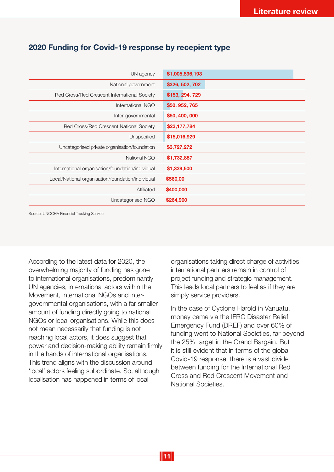| UN agency                                         | \$1,005,896,193 |
|---------------------------------------------------|-----------------|
| National government                               | \$326, 502, 702 |
| Red Cross/Red Crescent International Society      | \$153, 294, 729 |
| International NGO                                 | \$50, 952, 765  |
| Inter-governmental                                | \$50, 400, 000  |
| Red Cross/Red Crescent National Society           | \$23,177,784    |
| Unspecified                                       | \$15,016,929    |
| Uncategorised private organisation/foundation     | \$3,727,272     |
| National NGO                                      | \$1,732,887     |
| International organisation/foundation/individual  | \$1,339,500     |
| Local/National organisation/foundation/individual | \$560,00        |
| Affiliated                                        | \$400,000       |
| Uncategorised NGO                                 | \$264,900       |

#### 2020 Funding for Covid-19 response by recepient type

Source: UNOCHA Financial Tracking Service

According to the latest data for 2020, the overwhelming majority of funding has gone to international organisations, predominantly UN agencies, international actors within the Movement, international NGOs and intergovernmental organisations, with a far smaller amount of funding directly going to national NGOs or local organisations. While this does not mean necessarily that funding is not reaching local actors, it does suggest that power and decision-making ability remain firmly in the hands of international organisations. This trend aligns with the discussion around 'local' actors feeling subordinate. So, although localisation has happened in terms of local

organisations taking direct charge of activities, international partners remain in control of project funding and strategic management. This leads local partners to feel as if they are simply service providers.

In the case of Cyclone Harold in Vanuatu, money came via the IFRC Disaster Relief Emergency Fund (DREF) and over 60% of funding went to National Societies, far beyond the 25% target in the Grand Bargain. But it is still evident that in terms of the global Covid-19 response, there is a vast divide between funding for the International Red Cross and Red Crescent Movement and National Societies.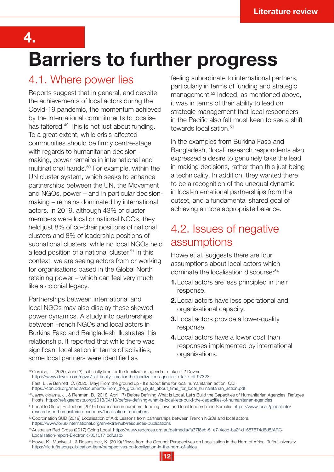4.

## Barriers to further progress

#### 4.1. Where power lies

Reports suggest that in general, and despite the achievements of local actors during the Covid-19 pandemic, the momentum achieved by the international commitments to localise has faltered.<sup>49</sup> This is not just about funding. To a great extent, while crisis-affected communities should be firmly centre-stage with regards to humanitarian decisionmaking, power remains in international and multinational hands.<sup>50</sup> For example, within the UN cluster system, which seeks to enhance partnerships between the UN, the Movement and NGOs, power – and in particular decisionmaking – remains dominated by international actors. In 2019, although 43% of cluster members were local or national NGOs, they held just 8% of co-chair positions of national clusters and 8% of leadership positions of subnational clusters, while no local NGOs held a lead position of a national cluster.51 In this context, we are seeing actors from or working for organisations based in the Global North retaining power – which can feel very much like a colonial legacy.

Partnerships between international and local NGOs may also display these skewed power dynamics. A study into partnerships between French NGOs and local actors in Burkina Faso and Bangladesh illustrates this relationship. It reported that while there was significant localisation in terms of activities, some local partners were identified as

feeling subordinate to international partners, particularly in terms of funding and strategic management.52 Indeed, as mentioned above, it was in terms of their ability to lead on strategic management that local responders in the Pacific also felt most keen to see a shift towards localisation.<sup>53</sup>

In the examples from Burkina Faso and Bangladesh, 'local' research respondents also expressed a desire to genuinely take the lead in making decisions, rather than this just being a technicality. In addition, they wanted there to be a recognition of the unequal dynamic in local-international partnerships from the outset, and a fundamental shared goal of achieving a more appropriate balance.

### 4.2. Issues of negative assumptions

Howe et al. suggests there are four assumptions about local actors which dominate the localisation discourse:<sup>54</sup>

- 1.Local actors are less principled in their response.
- 2.Local actors have less operational and organisational capacity.
- **3.** Local actors provide a lower-quality response.
- 4.Local actors have a lower cost than responses implemented by international organisations.

12

<sup>49</sup> Cornish, L. (2020, June 3) Is it finally time for the localization agenda to take off? Devex. https://www.devex.com/news/is-it-finally-time-for-the-localization-agenda-to-take-off-97323 Fast, L., & Bennett, C. (2020, May) From the ground up - It's about time for local humanitarian action. ODI. https://cdn.odi.org/media/documents/From\_the\_ground\_up\_its\_about\_time\_for\_local\_humanitarian\_action.pdf

<sup>50</sup> Jayawickrama, J., & Rehman, B. (2018, April 17) Before Defining What is Local, Let's Build the Capacities of Humanitarian Agencies. Refugee Hosts. https://refugeehosts.org/2018/04/10/before-defining-what-is-local-lets-build-the-capacities-of-humanitarian-agencies

<sup>51</sup> Local to Global Protection (2019) Localisation in numbers, funding flows and local leadership in Somalia. https://www.local2global.info/ research/the-humanitarian-economy/localisation-in-numbers

<sup>52</sup> Coordination SUD (2019) Localisation of Aid: Lessons from partnerships between French NGOs and local actors. https://www.forus-international.org/en/extra/hub/resources-publications

<sup>53</sup> Australian Red Cross (2017) Going Local. https://www.redcross.org.au/getmedia/fa37f8eb-51e7-4ecd-ba2f-d1587574d6d5/ARC-Localisation-report-Electronic-301017.pdf.aspx

<sup>&</sup>lt;sup>54</sup> Howe, K., Munive, J., & Rosenstock, K. (2019) Views from the Ground: Perspectives on Localization in the Horn of Africa. Tufts University. https://fic.tufts.edu/publication-item/perspectives-on-localization-in-the-horn-of-africa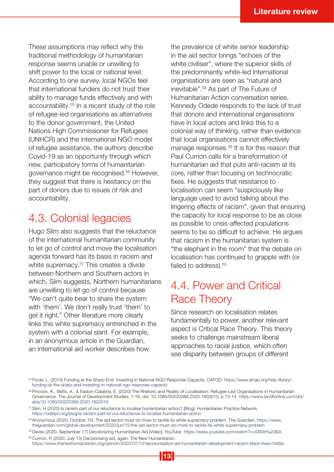These assumptions may reflect why the traditional methodology of humanitarian response seems unable or unwilling to shift power to the local or national level. According to one survey, local NGOs feel that international funders do not trust their ability to manage funds effectively and with accountability.55 In a recent study of the role of refugee-led organisations as alternatives to the donor government, the United Nations High Commissioner for Refugees (UNHCR) and the international NGO model of refugee assistance, the authors describe Covid-19 as an opportunity through which new, participatory forms of humanitarian governance might be recognised.56 However, they suggest that there is hesitancy on the part of donors due to issues of risk and accountability.

#### 4.3. Colonial legacies

Hugo Slim also suggests that the reluctance of the international humanitarian community to let go of control and move the localisation agenda forward has its basis in racism and white supremacy.<sup>57</sup> This creates a divide between Northern and Southern actors in which, Slim suggests, Northern humanitarians are unwilling to let go of control because "We can't quite bear to share the system with 'them'. We don't really trust 'them' to get it right." Other literature more clearly links this white supremacy entrenched in the system with a colonial slant. For example, in an anonymous article in the Guardian, an international aid worker describes how

the prevalence of white senior leadership in the aid sector brings "echoes of the white civiliser", where the superior skills of the predominantly white-led international organisations are seen as "natural and inevitable".58 As part of The Future of Humanitarian Action conversation series, Kennedy Odede responds to the lack of trust that donors and international organisations have in local actors and links this to a colonial way of thinking, rather than evidence that local organisations cannot effectively manage responses.59 It is for this reason that Paul Currion calls for a transformation of humanitarian aid that puts anti-racism at its core, rather than focusing on technocratic fixes. He suggests that resistance to localisation can seem "suspiciously like language used to avoid talking about the lingering effects of racism", given that ensuring the capacity for local response to be as close as possible to crisis-affected populations seems to be so difficult to achieve. He argues that racism in the humanitarian system is "the elephant in the room" that the debate on localisation has continued to grapple with (or failed to address). $60$ 

#### 4.4. Power and Critical Race Theory

Since research on localisation relates fundamentally to power, another relevant aspect is Critical Race Theory. This theory seeks to challenge mainstream liberal approaches to racial justice, which often see disparity between groups of different

https://www.thenewhumanitarian.org/opinion/2020/07/13/decolonisation-aid-humanitarian-development-racism-black-lives-matter

<sup>55</sup> Poole, L. (2013) Funding at the Sharp End: Investing in National NGO Response Capacity. CAFOD. https://www.alnap.org/help-library/ funding-at-the-sharp-end-investing-in-national-ngo-response-capacity

<sup>56</sup> Pincock, K., Betts, A., & Easton-Calabria, E. (2020) The Rhetoric and Reality of Localisation: Refugee-Led Organisations in Humanitarian Governance. The Journal of Development Studies. 1-16. doi: 10.1080/00220388.2020.1802010, p.13-14. https://www.tandfonline.com/doi/ abs/10.1080/00220388.2020.1802010

<sup>&</sup>lt;sup>57</sup> Slim, H (2020) Is racism part of our reluctance to localise humanitarian action? [Blog]. Humanitarian Practice Network. https://odihpn.org/blog/is-racism-part-of-our-reluctance-to-localise-humanitarian-action

<sup>58</sup> Anonymous (2020, October 15). The aid sector must do more to tackle its white supremacy problem. The Guardian. https://www. theguardian.com/global-development/2020/jun/15/the-aid-sector-must-do-more-to-tackle-its-white-supremacy-problem

<sup>59</sup> Devex (2020, September 17) Decolonizing Humanitarian Aid [Video]. YouTube. https://www.youtube.com/watch?v=XAf3tHuZdSA <sup>60</sup> Currion, P. (2020, July 13) Decolonising aid, again. The New Humanitarian.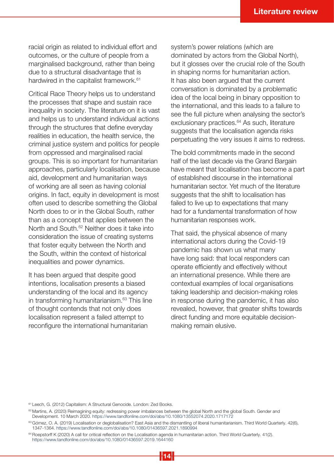racial origin as related to individual effort and outcomes, or the culture of people from a marginalised background, rather than being due to a structural disadvantage that is hardwired in the capitalist framework.<sup>61</sup>

Critical Race Theory helps us to understand the processes that shape and sustain race inequality in society. The literature on it is vast and helps us to understand individual actions through the structures that define everyday realities in education, the health service, the criminal justice system and politics for people from oppressed and marginalised racial groups. This is so important for humanitarian approaches, particularly localisation, because aid, development and humanitarian ways of working are all seen as having colonial origins. In fact, equity in development is most often used to describe something the Global North does to or in the Global South, rather than as a concept that applies between the North and South.<sup>62</sup> Neither does it take into consideration the issue of creating systems that foster equity between the North and the South, within the context of historical inequalities and power dynamics.

It has been argued that despite good intentions, localisation presents a biased understanding of the local and its agency in transforming humanitarianism. $63$  This line of thought contends that not only does localisation represent a failed attempt to reconfigure the international humanitarian

system's power relations (which are dominated by actors from the Global North), but it glosses over the crucial role of the South in shaping norms for humanitarian action. It has also been argued that the current conversation is dominated by a problematic idea of the local being in binary opposition to the international, and this leads to a failure to see the full picture when analysing the sector's exclusionary practices.<sup>64</sup> As such, literature suggests that the localisation agenda risks perpetuating the very issues it aims to redress.

The bold commitments made in the second half of the last decade via the Grand Bargain have meant that localisation has become a part of established discourse in the international humanitarian sector. Yet much of the literature suggests that the shift to localisation has failed to live up to expectations that many had for a fundamental transformation of how humanitarian responses work.

That said, the physical absence of many international actors during the Covid-19 pandemic has shown us what many have long said: that local responders can operate efficiently and effectively without an international presence. While there are contextual examples of local organisations taking leadership and decision-making roles in response during the pandemic, it has also revealed, however, that greater shifts towards direct funding and more equitable decisionmaking remain elusive.

<sup>&</sup>lt;sup>61</sup> Leech, G. (2012) Capitalism: A Structural Genocide. London: Zed Books.

<sup>&</sup>lt;sup>62</sup> Martins, A. (2020) Reimagining equity: redressing power imbalances between the global North and the global South. Gender and Development. 10 March 2020. https://www.tandfonline.com/doi/abs/10.1080/13552074.2020.1717172

<sup>63</sup> Gómez, O. A. (2019) Localisation or deglobalisation? East Asia and the dismantling of liberal humanitarianism. Third World Quarterly. 42(6), 1347-1364. https://www.tandfonline.com/doi/abs/10.1080/01436597.2021.1890994

<sup>&</sup>lt;sup>64</sup> Roepstorff K (2020) A call for critical reflection on the Localisation agenda in humanitarian action. Third World Quarterly. 41(2). https://www.tandfonline.com/doi/abs/10.1080/01436597.2019.1644160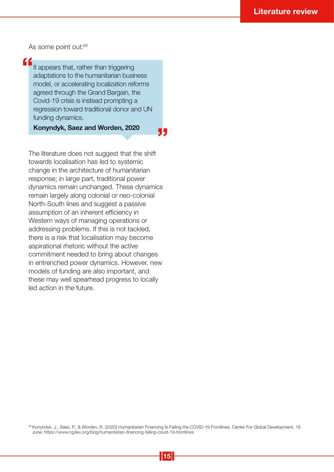As some point out:<sup>65</sup>

"

It appears that, rather than triggering adaptations to the humanitarian business model, or accelerating localization reforms agreed through the Grand Bargain, the Covid-19 crisis is instead prompting a regression toward traditional donor and UN funding dynamics.

Konyndyk, Saez and Worden, 2020

The literature does not suggest that the shift towards localisation has led to systemic change in the architecture of humanitarian response; in large part, traditional power dynamics remain unchanged. These dynamics remain largely along colonial or neo-colonial North-South lines and suggest a passive assumption of an inherent efficiency in Western ways of managing operations or addressing problems. If this is not tackled, there is a risk that localisation may become aspirational rhetoric without the active commitment needed to bring about changes in entrenched power dynamics. However, new models of funding are also important, and these may well spearhead progress to locally led action in the future.

<sup>65</sup> Konyndyk, J., Saez, P., & Worden, R. (2020) Humanitarian Financing Is Failing the COVID-19 Frontlines. Center For Global Development. 18 June. https://www.cgdev.org/blog/humanitarian-financing-failing-covid-19-frontlines

י<br>נ